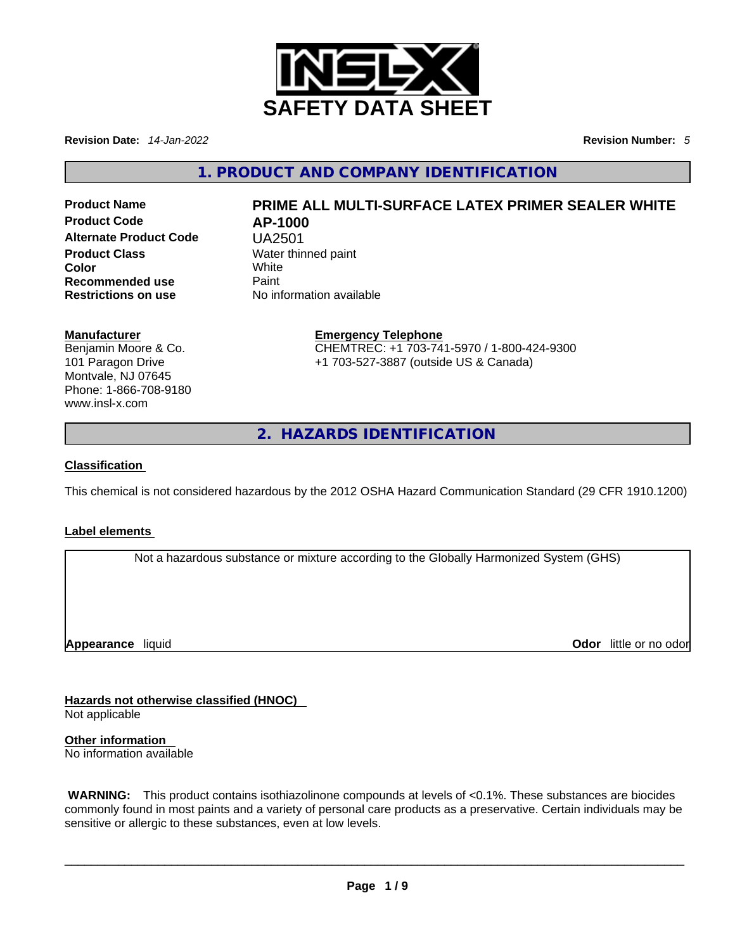

**Revision Date:** *14-Jan-2022* **Revision Number:** *5*

**1. PRODUCT AND COMPANY IDENTIFICATION** 

**Product Code AP-1000 Alternate Product Code** UA2501 **Product Class Water thinned paint Color** White **Recommended use Paint Restrictions on use** No information available

# **Product Name PRIME ALL MULTI-SURFACE LATEX PRIMER SEALER WHITE**

#### **Manufacturer**

Benjamin Moore & Co. 101 Paragon Drive Montvale, NJ 07645 Phone: 1-866-708-9180 www.insl-x.com

**Emergency Telephone** CHEMTREC: +1 703-741-5970 / 1-800-424-9300 +1 703-527-3887 (outside US & Canada)

**2. HAZARDS IDENTIFICATION** 

### **Classification**

This chemical is not considered hazardous by the 2012 OSHA Hazard Communication Standard (29 CFR 1910.1200)

### **Label elements**

Not a hazardous substance or mixture according to the Globally Harmonized System (GHS)

**Appearance** liquid

**Odor** little or no odor

**Hazards not otherwise classified (HNOC)**  Not applicable

**Other information**  No information available

 **WARNING:** This product contains isothiazolinone compounds at levels of <0.1%. These substances are biocides commonly found in most paints and a variety of personal care products as a preservative. Certain individuals may be sensitive or allergic to these substances, even at low levels.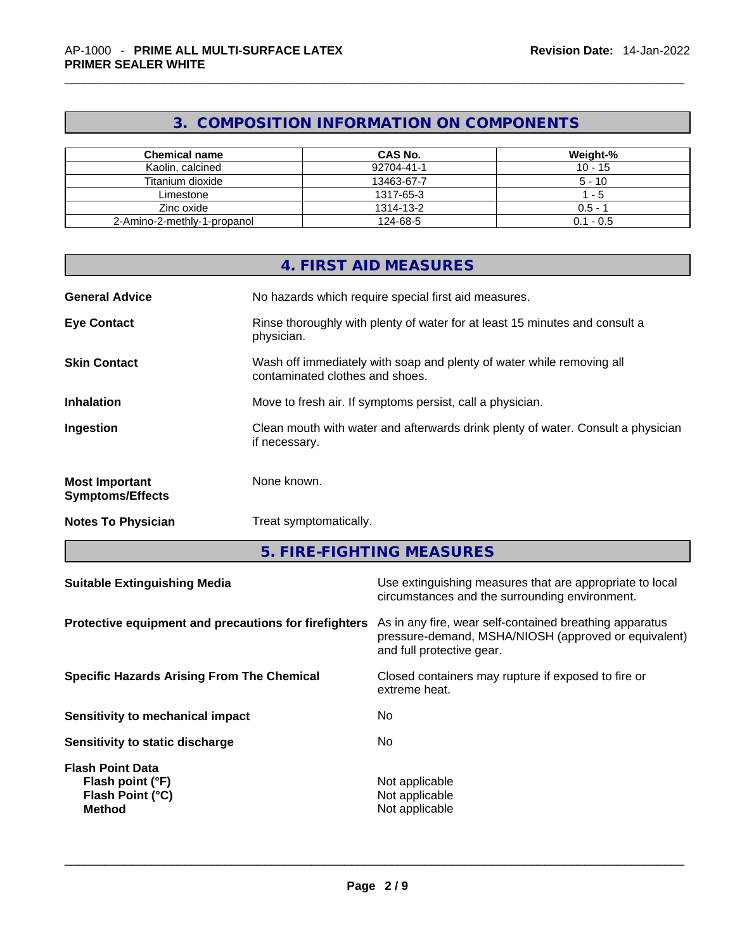# **3. COMPOSITION INFORMATION ON COMPONENTS**

| <b>Chemical name</b>        | CAS No.    | Weight-%    |
|-----------------------------|------------|-------------|
| Kaolin, calcined            | 92704-41-1 | $10 - 15$   |
| Titanium dioxide            | 13463-67-7 | $5 - 10$    |
| Limestone                   | 1317-65-3  | - 5         |
| Zinc oxide                  | 1314-13-2  | $0.5 - 1$   |
| 2-Amino-2-methly-1-propanol | 124-68-5   | $0.1 - 0.5$ |

|                                                  | 4. FIRST AID MEASURES                                                                                    |
|--------------------------------------------------|----------------------------------------------------------------------------------------------------------|
| <b>General Advice</b>                            | No hazards which require special first aid measures.                                                     |
| <b>Eye Contact</b>                               | Rinse thoroughly with plenty of water for at least 15 minutes and consult a<br>physician.                |
| <b>Skin Contact</b>                              | Wash off immediately with soap and plenty of water while removing all<br>contaminated clothes and shoes. |
| <b>Inhalation</b>                                | Move to fresh air. If symptoms persist, call a physician.                                                |
| Ingestion                                        | Clean mouth with water and afterwards drink plenty of water. Consult a physician<br>if necessary.        |
| <b>Most Important</b><br><b>Symptoms/Effects</b> | None known.                                                                                              |
| <b>Notes To Physician</b>                        | Treat symptomatically.                                                                                   |

**5. FIRE-FIGHTING MEASURES** 

| <b>Suitable Extinguishing Media</b>                                              | Use extinguishing measures that are appropriate to local<br>circumstances and the surrounding environment.                                   |
|----------------------------------------------------------------------------------|----------------------------------------------------------------------------------------------------------------------------------------------|
| Protective equipment and precautions for firefighters                            | As in any fire, wear self-contained breathing apparatus<br>pressure-demand, MSHA/NIOSH (approved or equivalent)<br>and full protective gear. |
| <b>Specific Hazards Arising From The Chemical</b>                                | Closed containers may rupture if exposed to fire or<br>extreme heat.                                                                         |
| <b>Sensitivity to mechanical impact</b>                                          | No.                                                                                                                                          |
| Sensitivity to static discharge                                                  | No.                                                                                                                                          |
| <b>Flash Point Data</b><br>Flash point (°F)<br>Flash Point (°C)<br><b>Method</b> | Not applicable<br>Not applicable<br>Not applicable                                                                                           |
|                                                                                  |                                                                                                                                              |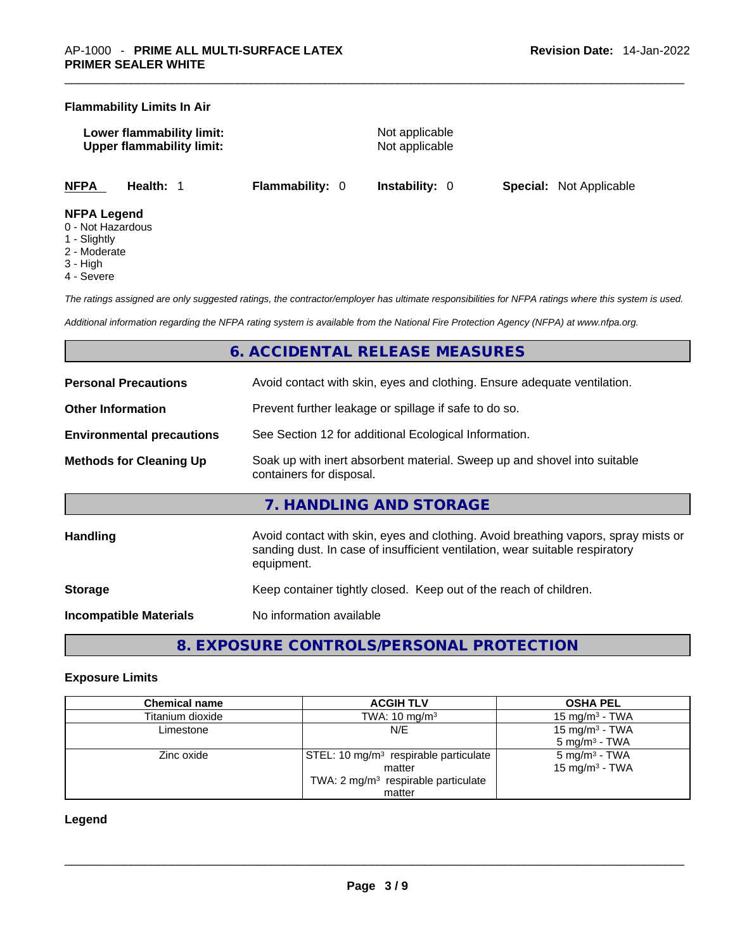#### **Flammability Limits In Air**

**Lower flammability limit:** Not applicable **Upper flammability limit:** Not applicable

**NFPA Health:** 1 **Flammability:** 0 **Instability:** 0 **Special:** Not Applicable

#### **NFPA Legend**

- 0 Not Hazardous
- 1 Slightly
- 2 Moderate
- 3 High
- 4 Severe

*The ratings assigned are only suggested ratings, the contractor/employer has ultimate responsibilities for NFPA ratings where this system is used.* 

*Additional information regarding the NFPA rating system is available from the National Fire Protection Agency (NFPA) at www.nfpa.org.* 

# **6. ACCIDENTAL RELEASE MEASURES**

| <b>Personal Precautions</b>      | Avoid contact with skin, eyes and clothing. Ensure adequate ventilation.                                                                                                         |  |
|----------------------------------|----------------------------------------------------------------------------------------------------------------------------------------------------------------------------------|--|
| <b>Other Information</b>         | Prevent further leakage or spillage if safe to do so.                                                                                                                            |  |
| <b>Environmental precautions</b> | See Section 12 for additional Ecological Information.                                                                                                                            |  |
| <b>Methods for Cleaning Up</b>   | Soak up with inert absorbent material. Sweep up and shovel into suitable<br>containers for disposal.                                                                             |  |
|                                  | 7. HANDLING AND STORAGE                                                                                                                                                          |  |
| <b>Handling</b>                  | Avoid contact with skin, eyes and clothing. Avoid breathing vapors, spray mists or<br>sanding dust. In case of insufficient ventilation, wear suitable respiratory<br>equipment. |  |
| <b>Storage</b>                   | Keep container tightly closed. Keep out of the reach of children.                                                                                                                |  |
| <b>Incompatible Materials</b>    | No information available                                                                                                                                                         |  |

**8. EXPOSURE CONTROLS/PERSONAL PROTECTION** 

#### **Exposure Limits**

| <b>Chemical name</b> | <b>ACGIH TLV</b>                                | <b>OSHA PEL</b>            |
|----------------------|-------------------------------------------------|----------------------------|
| Titanium dioxide     | TWA: $10 \text{ mg/m}^3$                        | $15 \text{ mg/m}^3$ - TWA  |
| Limestone            | N/E                                             | 15 mg/m <sup>3</sup> - TWA |
|                      |                                                 | $5 \text{ mg/m}^3$ - TWA   |
| Zinc oxide           | $STEL: 10 mg/m3$ respirable particulate         | 5 mg/m <sup>3</sup> - TWA  |
|                      | matter                                          | 15 mg/m <sup>3</sup> - TWA |
|                      | TWA: 2 mg/m <sup>3</sup> respirable particulate |                            |
|                      | matter                                          |                            |

#### **Legend**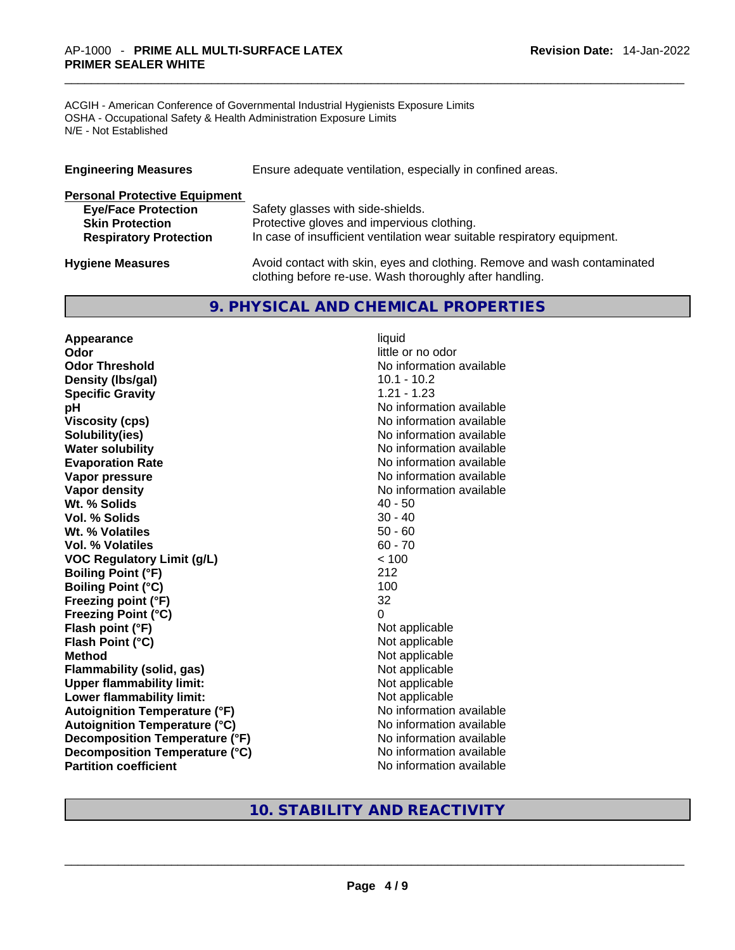ACGIH - American Conference of Governmental Industrial Hygienists Exposure Limits OSHA - Occupational Safety & Health Administration Exposure Limits N/E - Not Established

| <b>Engineering Measures</b>          | Ensure adequate ventilation, especially in confined areas.                                                                          |  |  |
|--------------------------------------|-------------------------------------------------------------------------------------------------------------------------------------|--|--|
| <b>Personal Protective Equipment</b> |                                                                                                                                     |  |  |
| <b>Eye/Face Protection</b>           | Safety glasses with side-shields.                                                                                                   |  |  |
| <b>Skin Protection</b>               | Protective gloves and impervious clothing.                                                                                          |  |  |
| <b>Respiratory Protection</b>        | In case of insufficient ventilation wear suitable respiratory equipment.                                                            |  |  |
| <b>Hygiene Measures</b>              | Avoid contact with skin, eyes and clothing. Remove and wash contaminated<br>clothing before re-use. Wash thoroughly after handling. |  |  |

# **9. PHYSICAL AND CHEMICAL PROPERTIES**

**Appearance** liquid **Odor Odor Odor Odor Odor Odor** *little or no odor little or no odor little or no odor* **Odor Threshold No information available No information available Density (lbs/gal)** 10.1 - 10.2 **Specific Gravity** 1.21 - 1.23 **pH pH No** information available **Viscosity (cps)** No information available **Water solubility Water solubility Water solubility Water solubility Water solubility Water solution Evaporation Rate No information available No information available Vapor pressure**  No information available **Vapor pressure No information available Vapor density Vapor** density **Wt. % Solids** 40 - 50 **Vol. % Solids** 30 - 40 **Wt. % Volatiles Vol. % Volatiles** 60 - 70 **VOC Regulatory Limit (g/L)** < 100 **Boiling Point (°F)** 212 **Boiling Point (°C)** 100<br> **Preezing point (°F)** 32 **Freezing point (°F) Freezing Point (°C)** 0 **Flash point (°F)** Not applicable **Flash Point (°C)** Not applicable **Method Not applicable Not applicable Flammability (solid, gas)** Not applicable **Upper flammability limit:** Not applicable **Lower flammability limit:** Not applicable **Autoignition Temperature (°F)** No information available **Autoignition Temperature (°C)** No information available **Decomposition Temperature (°F)**<br> **Decomposition Temperature (°C)** No information available **Decomposition Temperature (°C)**<br>Partition coefficient

**Solubility(ies)** No information available

**No information available** 

# **10. STABILITY AND REACTIVITY**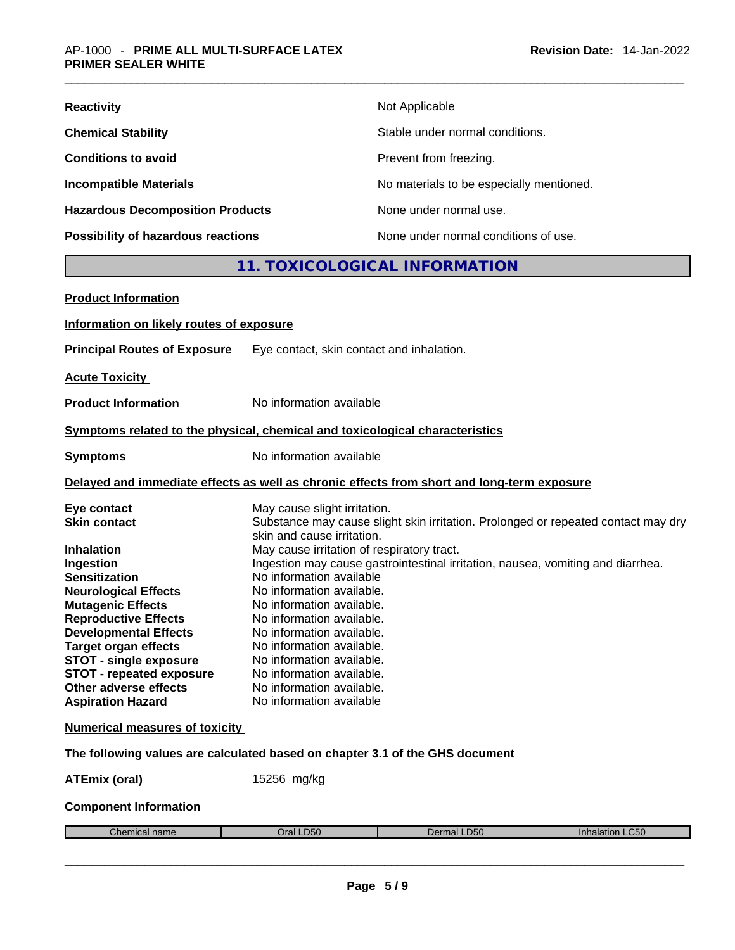| <b>Reactivity</b>                       | Not Applicable                           |
|-----------------------------------------|------------------------------------------|
| <b>Chemical Stability</b>               | Stable under normal conditions.          |
| <b>Conditions to avoid</b>              | Prevent from freezing.                   |
| <b>Incompatible Materials</b>           | No materials to be especially mentioned. |
| <b>Hazardous Decomposition Products</b> | None under normal use.                   |
| Possibility of hazardous reactions      | None under normal conditions of use.     |

# **11. TOXICOLOGICAL INFORMATION**

| <b>Product Information</b>               |                                                                                            |
|------------------------------------------|--------------------------------------------------------------------------------------------|
| Information on likely routes of exposure |                                                                                            |
| <b>Principal Routes of Exposure</b>      | Eye contact, skin contact and inhalation.                                                  |
| <b>Acute Toxicity</b>                    |                                                                                            |
| <b>Product Information</b>               | No information available                                                                   |
|                                          | Symptoms related to the physical, chemical and toxicological characteristics               |
| <b>Symptoms</b>                          | No information available                                                                   |
|                                          | Delayed and immediate effects as well as chronic effects from short and long-term exposure |
| Eye contact                              | May cause slight irritation.                                                               |
| <b>Skin contact</b>                      | Substance may cause slight skin irritation. Prolonged or repeated contact may dry          |
|                                          | skin and cause irritation.                                                                 |
| <b>Inhalation</b>                        | May cause irritation of respiratory tract.                                                 |
| Ingestion                                | Ingestion may cause gastrointestinal irritation, nausea, vomiting and diarrhea.            |
| <b>Sensitization</b>                     | No information available                                                                   |
| <b>Neurological Effects</b>              | No information available.                                                                  |
| <b>Mutagenic Effects</b>                 | No information available.                                                                  |
| <b>Reproductive Effects</b>              | No information available.                                                                  |
| <b>Developmental Effects</b>             | No information available.                                                                  |
| <b>Target organ effects</b>              | No information available.                                                                  |
| <b>STOT - single exposure</b>            | No information available.                                                                  |
| <b>STOT - repeated exposure</b>          | No information available.                                                                  |
| Other adverse effects                    | No information available.                                                                  |
| <b>Aspiration Hazard</b>                 | No information available                                                                   |
| <b>Numerical measures of toxicity</b>    |                                                                                            |
|                                          | The following values are calculated based on chapter 3.1 of the GHS document               |
| <b>ATEmix (oral)</b>                     | 15256 mg/kg                                                                                |
| <b>Component Information</b>             |                                                                                            |
|                                          |                                                                                            |

Chemical name **Chemical name** Oral LD50 Dermal LD50 **Dermal LD50** Inhalation LC50  $\_$  ,  $\_$  ,  $\_$  ,  $\_$  ,  $\_$  ,  $\_$  ,  $\_$  ,  $\_$  ,  $\_$  ,  $\_$  ,  $\_$  ,  $\_$  ,  $\_$  ,  $\_$  ,  $\_$  ,  $\_$  ,  $\_$  ,  $\_$  ,  $\_$  ,  $\_$  ,  $\_$  ,  $\_$  ,  $\_$  ,  $\_$  ,  $\_$  ,  $\_$  ,  $\_$  ,  $\_$  ,  $\_$  ,  $\_$  ,  $\_$  ,  $\_$  ,  $\_$  ,  $\_$  ,  $\_$  ,  $\_$  ,  $\_$  ,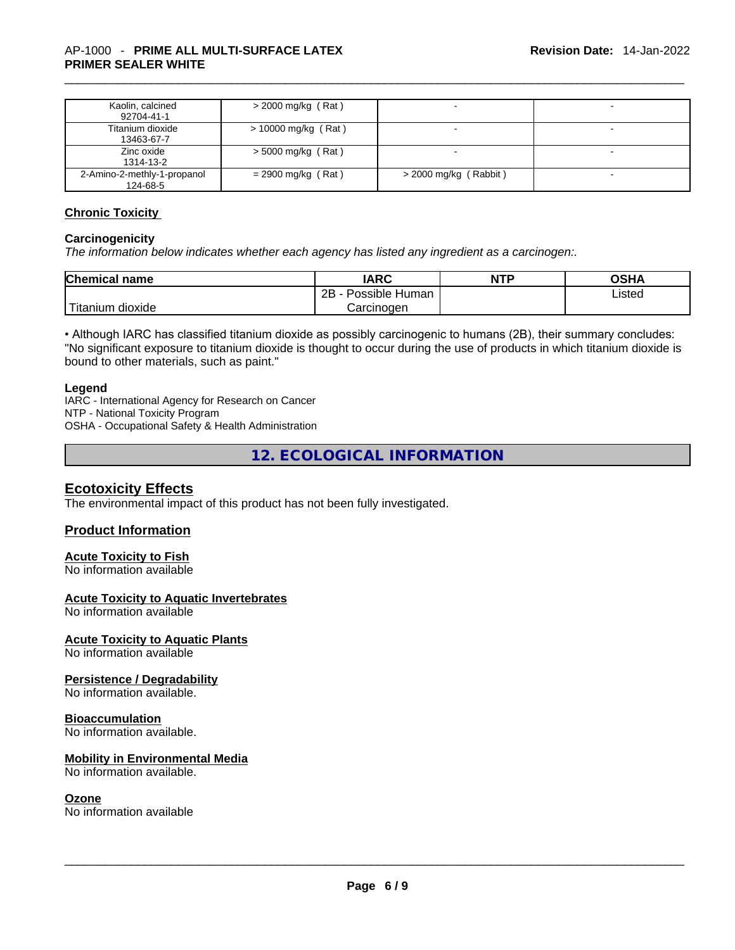| Kaolin, calcined<br>92704-41-1          | $>$ 2000 mg/kg (Rat)  |                         | $\overline{\phantom{a}}$ |
|-----------------------------------------|-----------------------|-------------------------|--------------------------|
| Titanium dioxide<br>13463-67-7          | $> 10000$ mg/kg (Rat) |                         |                          |
| Zinc oxide<br>1314-13-2                 | $>$ 5000 mg/kg (Rat)  |                         |                          |
| 2-Amino-2-methly-1-propanol<br>124-68-5 | $= 2900$ mg/kg (Rat)  | $>$ 2000 mg/kg (Rabbit) |                          |

#### **Chronic Toxicity**

#### **Carcinogenicity**

*The information below indicates whether each agency has listed any ingredient as a carcinogen:.* 

| <b>Chemical name</b>  | IARC                 | <b>NTP</b> | OSHA   |
|-----------------------|----------------------|------------|--------|
|                       | 2B<br>Possible Human |            | ∟isted |
| Titanium J<br>dioxide | Carcinogen           |            |        |

• Although IARC has classified titanium dioxide as possibly carcinogenic to humans (2B), their summary concludes: "No significant exposure to titanium dioxide is thought to occur during the use of products in which titanium dioxide is bound to other materials, such as paint."

#### **Legend**

IARC - International Agency for Research on Cancer NTP - National Toxicity Program OSHA - Occupational Safety & Health Administration

**12. ECOLOGICAL INFORMATION** 

### **Ecotoxicity Effects**

The environmental impact of this product has not been fully investigated.

#### **Product Information**

### **Acute Toxicity to Fish**

No information available

#### **Acute Toxicity to Aquatic Invertebrates**

No information available

#### **Acute Toxicity to Aquatic Plants**

No information available

#### **Persistence / Degradability**

No information available.

#### **Bioaccumulation**

No information available.

#### **Mobility in Environmental Media**

No information available.

**Ozone**<br>No information available No information available \_\_\_\_\_\_\_\_\_\_\_\_\_\_\_\_\_\_\_\_\_\_\_\_\_\_\_\_\_\_\_\_\_\_\_\_\_\_\_\_\_\_\_\_\_\_\_\_\_\_\_\_\_\_\_\_\_\_\_\_\_\_\_\_\_\_\_\_\_\_\_\_\_\_\_\_\_\_\_\_\_\_\_\_\_\_\_\_\_\_\_\_\_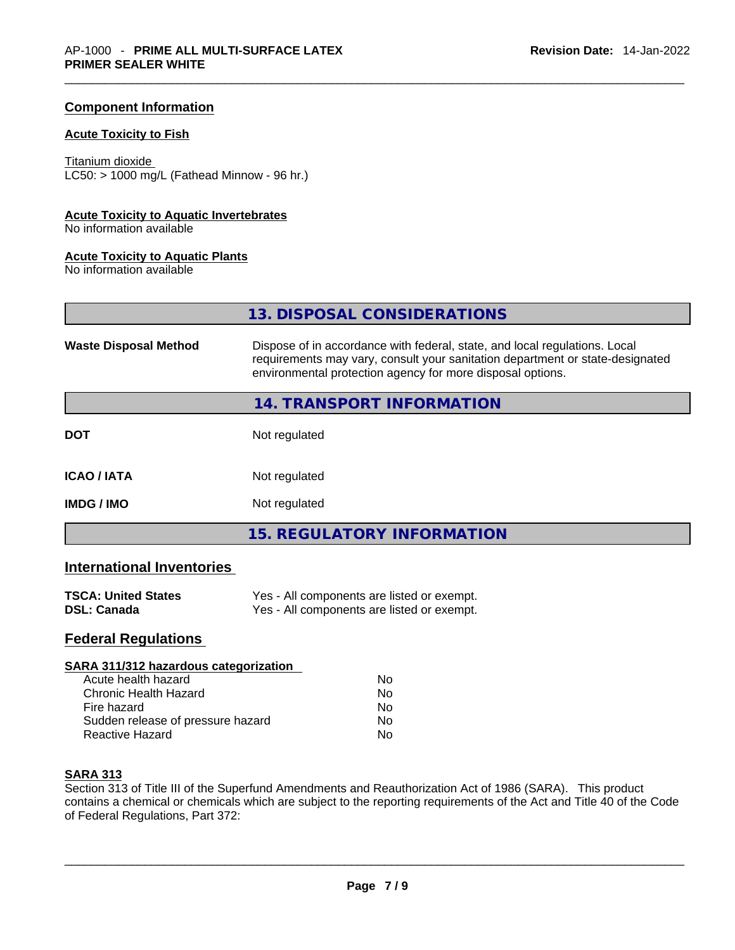#### **Component Information**

#### **Acute Toxicity to Fish**

Titanium dioxide  $LC50:$  > 1000 mg/L (Fathead Minnow - 96 hr.)

#### **Acute Toxicity to Aquatic Invertebrates**

No information available

#### **Acute Toxicity to Aquatic Plants**

No information available

|                              | 13. DISPOSAL CONSIDERATIONS                                                                                                                                                                                               |  |
|------------------------------|---------------------------------------------------------------------------------------------------------------------------------------------------------------------------------------------------------------------------|--|
| <b>Waste Disposal Method</b> | Dispose of in accordance with federal, state, and local regulations. Local<br>requirements may vary, consult your sanitation department or state-designated<br>environmental protection agency for more disposal options. |  |
|                              | 14. TRANSPORT INFORMATION                                                                                                                                                                                                 |  |
| <b>DOT</b>                   | Not regulated                                                                                                                                                                                                             |  |
| <b>ICAO/IATA</b>             | Not regulated                                                                                                                                                                                                             |  |
| <b>IMDG/IMO</b>              | Not regulated                                                                                                                                                                                                             |  |
|                              | <b>15. REGULATORY INFORMATION</b>                                                                                                                                                                                         |  |

# **International Inventories**

| <b>TSCA: United States</b> | Yes - All components are listed or exempt. |
|----------------------------|--------------------------------------------|
| <b>DSL: Canada</b>         | Yes - All components are listed or exempt. |

# **Federal Regulations**

| SARA 311/312 hazardous categorization |                |  |
|---------------------------------------|----------------|--|
| Acute health hazard                   | Nο             |  |
| Chronic Health Hazard                 | No             |  |
| Fire hazard                           | N <sub>0</sub> |  |
| Sudden release of pressure hazard     | No             |  |
| Reactive Hazard                       | No             |  |

### **SARA 313**

Section 313 of Title III of the Superfund Amendments and Reauthorization Act of 1986 (SARA). This product contains a chemical or chemicals which are subject to the reporting requirements of the Act and Title 40 of the Code of Federal Regulations, Part 372: of Federal Regulations, Part 372: \_\_\_\_\_\_\_\_\_\_\_\_\_\_\_\_\_\_\_\_\_\_\_\_\_\_\_\_\_\_\_\_\_\_\_\_\_\_\_\_\_\_\_\_\_\_\_\_\_\_\_\_\_\_\_\_\_\_\_\_\_\_\_\_\_\_\_\_\_\_\_\_\_\_\_\_\_\_\_\_\_\_\_\_\_\_\_\_\_\_\_\_\_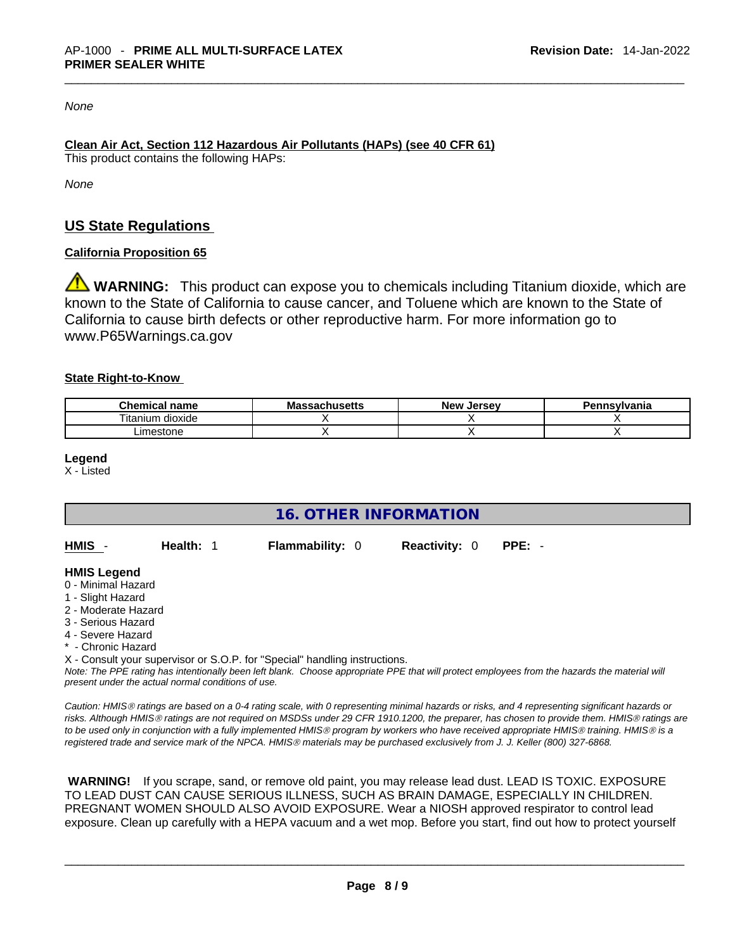*None*

# **Clean Air Act,Section 112 Hazardous Air Pollutants (HAPs) (see 40 CFR 61)**

This product contains the following HAPs:

*None*

# **US State Regulations**

### **California Proposition 65**

**WARNING:** This product can expose you to chemicals including Titanium dioxide, which are known to the State of California to cause cancer, and Toluene which are known to the State of California to cause birth defects or other reproductive harm. For more information go to www.P65Warnings.ca.gov

#### **State Right-to-Know**

| <b>Chemical</b><br>name             | <b>Massachusetts</b> | <b>New</b><br>. Jersev | Pennsylvania |
|-------------------------------------|----------------------|------------------------|--------------|
| $- \cdot$ .<br>dioxide<br>' itanium |                      |                        |              |
| _imestone                           |                      |                        |              |

**Legend**

X - Listed

**16. OTHER INFORMATION** 

| <b>HMIS</b><br><b>Reactivity: 0 PPE: -</b><br><b>Flammability: 0</b><br>Health: 1 |  |
|-----------------------------------------------------------------------------------|--|
|-----------------------------------------------------------------------------------|--|

#### **HMIS Legend**

- 0 Minimal Hazard
- 1 Slight Hazard
- 2 Moderate Hazard
- 3 Serious Hazard
- 4 Severe Hazard
- Chronic Hazard

X - Consult your supervisor or S.O.P. for "Special" handling instructions.

Note: The PPE rating has intentionally been left blank. Choose appropriate PPE that will protect employees from the hazards the material will *present under the actual normal conditions of use.* 

*Caution: HMISÒ ratings are based on a 0-4 rating scale, with 0 representing minimal hazards or risks, and 4 representing significant hazards or risks. Although HMISÒ ratings are not required on MSDSs under 29 CFR 1910.1200, the preparer, has chosen to provide them. HMISÒ ratings are to be used only in conjunction with a fully implemented HMISÒ program by workers who have received appropriate HMISÒ training. HMISÒ is a registered trade and service mark of the NPCA. HMISÒ materials may be purchased exclusively from J. J. Keller (800) 327-6868.* 

 **WARNING!** If you scrape, sand, or remove old paint, you may release lead dust. LEAD IS TOXIC. EXPOSURE TO LEAD DUST CAN CAUSE SERIOUS ILLNESS, SUCH AS BRAIN DAMAGE, ESPECIALLY IN CHILDREN. PREGNANT WOMEN SHOULD ALSO AVOID EXPOSURE.Wear a NIOSH approved respirator to control lead exposure. Clean up carefully with a HEPA vacuum and a wet mop. Before you start, find out how to protect yourself